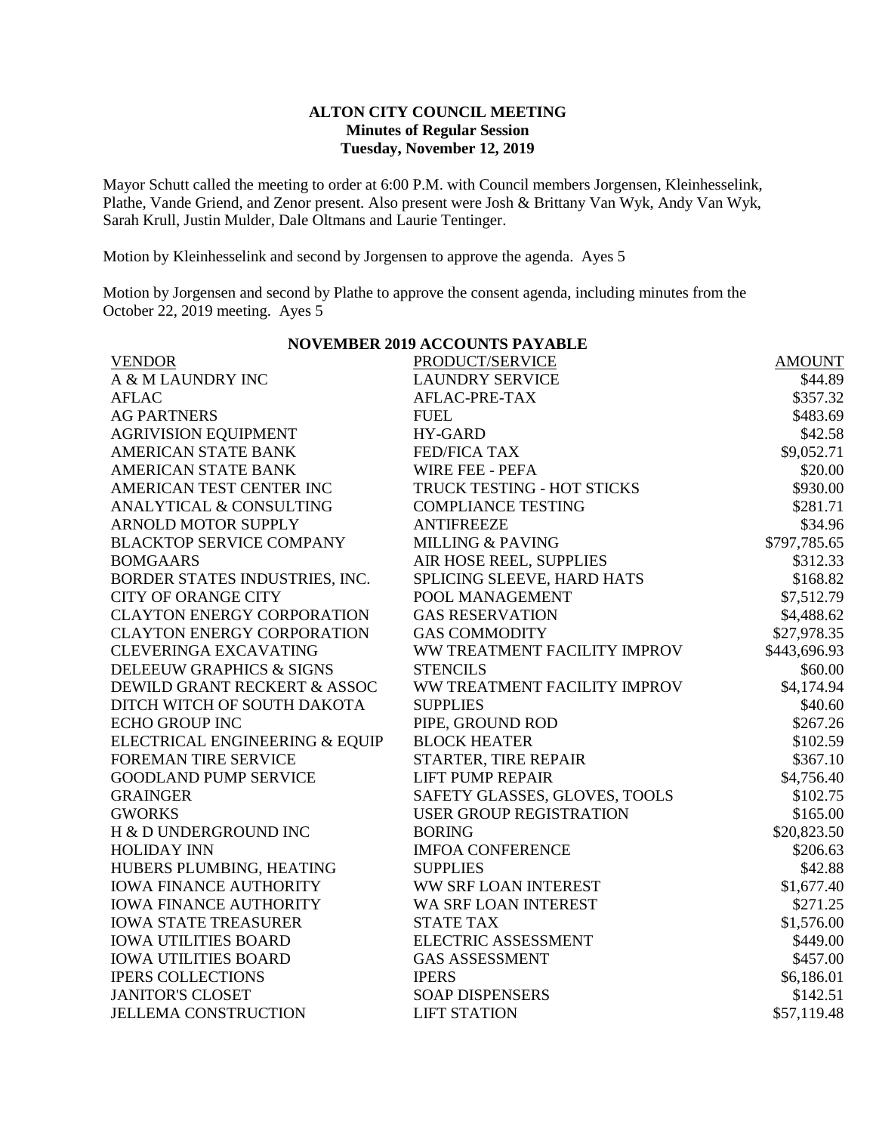## **ALTON CITY COUNCIL MEETING Minutes of Regular Session Tuesday, November 12, 2019**

Mayor Schutt called the meeting to order at 6:00 P.M. with Council members Jorgensen, Kleinhesselink, Plathe, Vande Griend, and Zenor present. Also present were Josh & Brittany Van Wyk, Andy Van Wyk, Sarah Krull, Justin Mulder, Dale Oltmans and Laurie Tentinger.

Motion by Kleinhesselink and second by Jorgensen to approve the agenda. Ayes 5

Motion by Jorgensen and second by Plathe to approve the consent agenda, including minutes from the October 22, 2019 meeting. Ayes 5

| <b>NOVEMBER 2019 ACCOUNTS PAYABLE</b>              |                                              |  |  |  |
|----------------------------------------------------|----------------------------------------------|--|--|--|
| <b>VENDOR</b>                                      | PRODUCT/SERVICE<br><b>AMOUNT</b>             |  |  |  |
| A & M LAUNDRY INC                                  | <b>LAUNDRY SERVICE</b><br>\$44.89            |  |  |  |
| <b>AFLAC</b>                                       | AFLAC-PRE-TAX<br>\$357.32                    |  |  |  |
| <b>AG PARTNERS</b><br><b>FUEL</b>                  | \$483.69                                     |  |  |  |
| <b>AGRIVISION EQUIPMENT</b><br><b>HY-GARD</b>      | \$42.58                                      |  |  |  |
| <b>AMERICAN STATE BANK</b><br><b>FED/FICA TAX</b>  | \$9,052.71                                   |  |  |  |
| <b>AMERICAN STATE BANK</b>                         | \$20.00<br><b>WIRE FEE - PEFA</b>            |  |  |  |
| AMERICAN TEST CENTER INC                           | TRUCK TESTING - HOT STICKS<br>\$930.00       |  |  |  |
| <b>ANALYTICAL &amp; CONSULTING</b>                 | <b>COMPLIANCE TESTING</b><br>\$281.71        |  |  |  |
| <b>ARNOLD MOTOR SUPPLY</b><br><b>ANTIFREEZE</b>    | \$34.96                                      |  |  |  |
| <b>BLACKTOP SERVICE COMPANY</b>                    | <b>MILLING &amp; PAVING</b><br>\$797,785.65  |  |  |  |
| <b>BOMGAARS</b>                                    | AIR HOSE REEL, SUPPLIES<br>\$312.33          |  |  |  |
| BORDER STATES INDUSTRIES, INC.                     | \$168.82<br>SPLICING SLEEVE, HARD HATS       |  |  |  |
| <b>CITY OF ORANGE CITY</b>                         | POOL MANAGEMENT<br>\$7,512.79                |  |  |  |
| <b>CLAYTON ENERGY CORPORATION</b>                  | <b>GAS RESERVATION</b><br>\$4,488.62         |  |  |  |
| <b>CLAYTON ENERGY CORPORATION</b>                  | <b>GAS COMMODITY</b><br>\$27,978.35          |  |  |  |
| <b>CLEVERINGA EXCAVATING</b>                       | WW TREATMENT FACILITY IMPROV<br>\$443,696.93 |  |  |  |
| DELEEUW GRAPHICS & SIGNS<br><b>STENCILS</b>        | \$60.00                                      |  |  |  |
| DEWILD GRANT RECKERT & ASSOC                       | WW TREATMENT FACILITY IMPROV<br>\$4,174.94   |  |  |  |
| DITCH WITCH OF SOUTH DAKOTA<br><b>SUPPLIES</b>     | \$40.60                                      |  |  |  |
| <b>ECHO GROUP INC</b>                              | PIPE, GROUND ROD<br>\$267.26                 |  |  |  |
| ELECTRICAL ENGINEERING & EQUIP                     | <b>BLOCK HEATER</b><br>\$102.59              |  |  |  |
| <b>FOREMAN TIRE SERVICE</b>                        | STARTER, TIRE REPAIR<br>\$367.10             |  |  |  |
| <b>GOODLAND PUMP SERVICE</b>                       | <b>LIFT PUMP REPAIR</b><br>\$4,756.40        |  |  |  |
| <b>GRAINGER</b>                                    | SAFETY GLASSES, GLOVES, TOOLS<br>\$102.75    |  |  |  |
| <b>GWORKS</b>                                      | <b>USER GROUP REGISTRATION</b><br>\$165.00   |  |  |  |
| H & D UNDERGROUND INC<br><b>BORING</b>             | \$20,823.50                                  |  |  |  |
| <b>HOLIDAY INN</b>                                 | <b>IMFOA CONFERENCE</b><br>\$206.63          |  |  |  |
| HUBERS PLUMBING, HEATING<br><b>SUPPLIES</b>        | \$42.88                                      |  |  |  |
| <b>IOWA FINANCE AUTHORITY</b>                      | WW SRF LOAN INTEREST<br>\$1,677.40           |  |  |  |
| <b>IOWA FINANCE AUTHORITY</b>                      | WA SRF LOAN INTEREST<br>\$271.25             |  |  |  |
| <b>IOWA STATE TREASURER</b><br><b>STATE TAX</b>    | \$1,576.00                                   |  |  |  |
| <b>IOWA UTILITIES BOARD</b>                        | <b>ELECTRIC ASSESSMENT</b><br>\$449.00       |  |  |  |
| <b>IOWA UTILITIES BOARD</b>                        | <b>GAS ASSESSMENT</b><br>\$457.00            |  |  |  |
| <b>IPERS COLLECTIONS</b><br><b>IPERS</b>           | \$6,186.01                                   |  |  |  |
| <b>JANITOR'S CLOSET</b>                            | <b>SOAP DISPENSERS</b><br>\$142.51           |  |  |  |
| <b>JELLEMA CONSTRUCTION</b><br><b>LIFT STATION</b> | \$57,119.48                                  |  |  |  |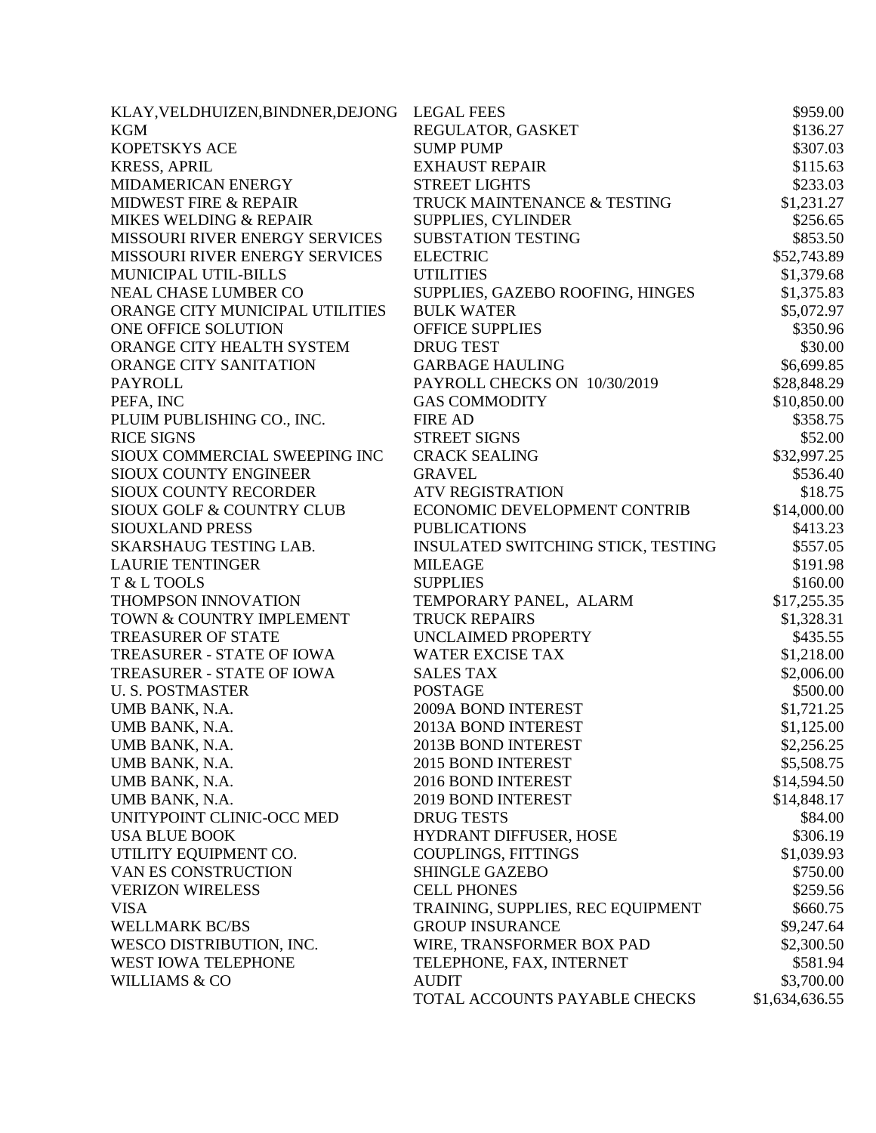| KLAY, VELDHUIZEN, BINDNER, DEJONG LEGAL FEES |                                           | \$959.00       |
|----------------------------------------------|-------------------------------------------|----------------|
| <b>KGM</b>                                   | REGULATOR, GASKET                         | \$136.27       |
| <b>KOPETSKYS ACE</b>                         | <b>SUMP PUMP</b>                          | \$307.03       |
| <b>KRESS, APRIL</b>                          | <b>EXHAUST REPAIR</b>                     | \$115.63       |
| MIDAMERICAN ENERGY                           | <b>STREET LIGHTS</b>                      | \$233.03       |
| <b>MIDWEST FIRE &amp; REPAIR</b>             | TRUCK MAINTENANCE & TESTING               | \$1,231.27     |
| MIKES WELDING & REPAIR                       | <b>SUPPLIES, CYLINDER</b>                 | \$256.65       |
| MISSOURI RIVER ENERGY SERVICES               | <b>SUBSTATION TESTING</b>                 | \$853.50       |
| MISSOURI RIVER ENERGY SERVICES               | <b>ELECTRIC</b>                           | \$52,743.89    |
| MUNICIPAL UTIL-BILLS                         | <b>UTILITIES</b>                          | \$1,379.68     |
| <b>NEAL CHASE LUMBER CO</b>                  | SUPPLIES, GAZEBO ROOFING, HINGES          | \$1,375.83     |
| ORANGE CITY MUNICIPAL UTILITIES              | <b>BULK WATER</b>                         | \$5,072.97     |
| ONE OFFICE SOLUTION                          | <b>OFFICE SUPPLIES</b>                    | \$350.96       |
| ORANGE CITY HEALTH SYSTEM                    | <b>DRUG TEST</b>                          | \$30.00        |
| ORANGE CITY SANITATION                       | <b>GARBAGE HAULING</b>                    | \$6,699.85     |
| <b>PAYROLL</b>                               | PAYROLL CHECKS ON 10/30/2019              | \$28,848.29    |
| PEFA, INC                                    | <b>GAS COMMODITY</b>                      | \$10,850.00    |
| PLUIM PUBLISHING CO., INC.                   | <b>FIRE AD</b>                            | \$358.75       |
| <b>RICE SIGNS</b>                            | <b>STREET SIGNS</b>                       | \$52.00        |
| SIOUX COMMERCIAL SWEEPING INC                | <b>CRACK SEALING</b>                      | \$32,997.25    |
| <b>SIOUX COUNTY ENGINEER</b>                 | <b>GRAVEL</b>                             | \$536.40       |
| SIOUX COUNTY RECORDER                        | <b>ATV REGISTRATION</b>                   | \$18.75        |
| SIOUX GOLF & COUNTRY CLUB                    | ECONOMIC DEVELOPMENT CONTRIB              | \$14,000.00    |
| SIOUXLAND PRESS                              | <b>PUBLICATIONS</b>                       | \$413.23       |
| SKARSHAUG TESTING LAB.                       | <b>INSULATED SWITCHING STICK, TESTING</b> | \$557.05       |
| <b>LAURIE TENTINGER</b>                      | <b>MILEAGE</b>                            | \$191.98       |
| T & L TOOLS                                  | <b>SUPPLIES</b>                           | \$160.00       |
| THOMPSON INNOVATION                          | TEMPORARY PANEL, ALARM                    | \$17,255.35    |
| TOWN & COUNTRY IMPLEMENT                     | <b>TRUCK REPAIRS</b>                      | \$1,328.31     |
| <b>TREASURER OF STATE</b>                    | UNCLAIMED PROPERTY                        | \$435.55       |
| TREASURER - STATE OF IOWA                    | <b>WATER EXCISE TAX</b>                   | \$1,218.00     |
| TREASURER - STATE OF IOWA                    | <b>SALES TAX</b>                          | \$2,006.00     |
| <b>U.S. POSTMASTER</b>                       | <b>POSTAGE</b>                            | \$500.00       |
| UMB BANK, N.A.                               | 2009A BOND INTEREST                       | \$1,721.25     |
| UMB BANK, N.A.                               | 2013A BOND INTEREST                       | \$1,125.00     |
| UMB BANK, N.A.                               | 2013B BOND INTEREST                       | \$2,256.25     |
| UMB BANK, N.A.                               | 2015 BOND INTEREST                        | \$5,508.75     |
| UMB BANK, N.A.                               | 2016 BOND INTEREST                        | \$14,594.50    |
| UMB BANK, N.A.                               | 2019 BOND INTEREST                        | \$14,848.17    |
| UNITYPOINT CLINIC-OCC MED                    | <b>DRUG TESTS</b>                         | \$84.00        |
| <b>USA BLUE BOOK</b>                         | HYDRANT DIFFUSER, HOSE                    | \$306.19       |
| UTILITY EQUIPMENT CO.                        | <b>COUPLINGS, FITTINGS</b>                | \$1,039.93     |
| VAN ES CONSTRUCTION                          | <b>SHINGLE GAZEBO</b>                     | \$750.00       |
| <b>VERIZON WIRELESS</b>                      | <b>CELL PHONES</b>                        | \$259.56       |
| <b>VISA</b>                                  | TRAINING, SUPPLIES, REC EQUIPMENT         | \$660.75       |
| <b>WELLMARK BC/BS</b>                        | <b>GROUP INSURANCE</b>                    | \$9,247.64     |
| WESCO DISTRIBUTION, INC.                     | WIRE, TRANSFORMER BOX PAD                 | \$2,300.50     |
| WEST IOWA TELEPHONE                          | TELEPHONE, FAX, INTERNET                  | \$581.94       |
| <b>WILLIAMS &amp; CO</b>                     | <b>AUDIT</b>                              | \$3,700.00     |
|                                              | TOTAL ACCOUNTS PAYABLE CHECKS             | \$1,634,636.55 |
|                                              |                                           |                |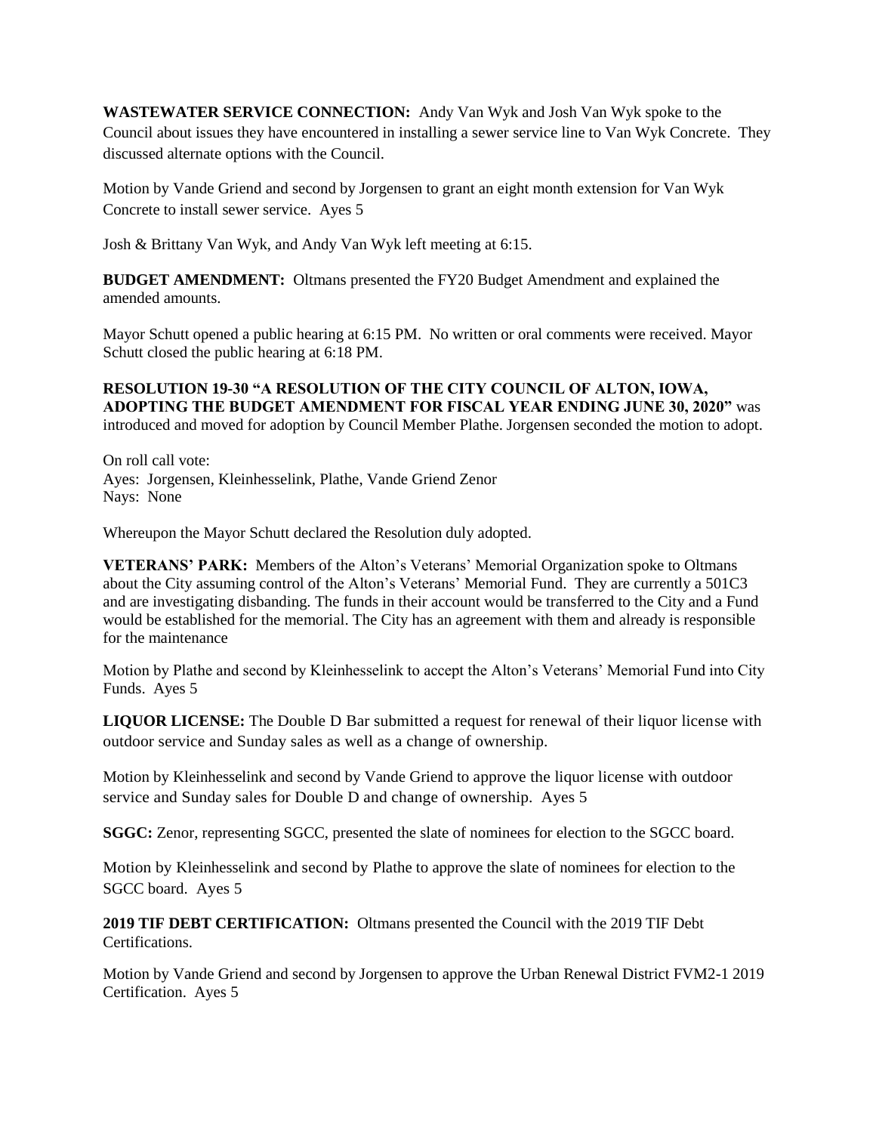**WASTEWATER SERVICE CONNECTION:** Andy Van Wyk and Josh Van Wyk spoke to the Council about issues they have encountered in installing a sewer service line to Van Wyk Concrete. They discussed alternate options with the Council.

Motion by Vande Griend and second by Jorgensen to grant an eight month extension for Van Wyk Concrete to install sewer service. Ayes 5

Josh & Brittany Van Wyk, and Andy Van Wyk left meeting at 6:15.

**BUDGET AMENDMENT:** Oltmans presented the FY20 Budget Amendment and explained the amended amounts.

Mayor Schutt opened a public hearing at 6:15 PM. No written or oral comments were received. Mayor Schutt closed the public hearing at 6:18 PM.

**RESOLUTION 19-30 "A RESOLUTION OF THE CITY COUNCIL OF ALTON, IOWA, ADOPTING THE BUDGET AMENDMENT FOR FISCAL YEAR ENDING JUNE 30, 2020"** was introduced and moved for adoption by Council Member Plathe. Jorgensen seconded the motion to adopt.

On roll call vote: Ayes: Jorgensen, Kleinhesselink, Plathe, Vande Griend Zenor Nays: None

Whereupon the Mayor Schutt declared the Resolution duly adopted.

**VETERANS' PARK:** Members of the Alton's Veterans' Memorial Organization spoke to Oltmans about the City assuming control of the Alton's Veterans' Memorial Fund. They are currently a 501C3 and are investigating disbanding. The funds in their account would be transferred to the City and a Fund would be established for the memorial. The City has an agreement with them and already is responsible for the maintenance

Motion by Plathe and second by Kleinhesselink to accept the Alton's Veterans' Memorial Fund into City Funds. Ayes 5

**LIQUOR LICENSE:** The Double D Bar submitted a request for renewal of their liquor license with outdoor service and Sunday sales as well as a change of ownership.

Motion by Kleinhesselink and second by Vande Griend to approve the liquor license with outdoor service and Sunday sales for Double D and change of ownership. Ayes 5

**SGGC:** Zenor, representing SGCC, presented the slate of nominees for election to the SGCC board.

Motion by Kleinhesselink and second by Plathe to approve the slate of nominees for election to the SGCC board. Ayes 5

**2019 TIF DEBT CERTIFICATION:** Oltmans presented the Council with the 2019 TIF Debt Certifications.

Motion by Vande Griend and second by Jorgensen to approve the Urban Renewal District FVM2-1 2019 Certification. Ayes 5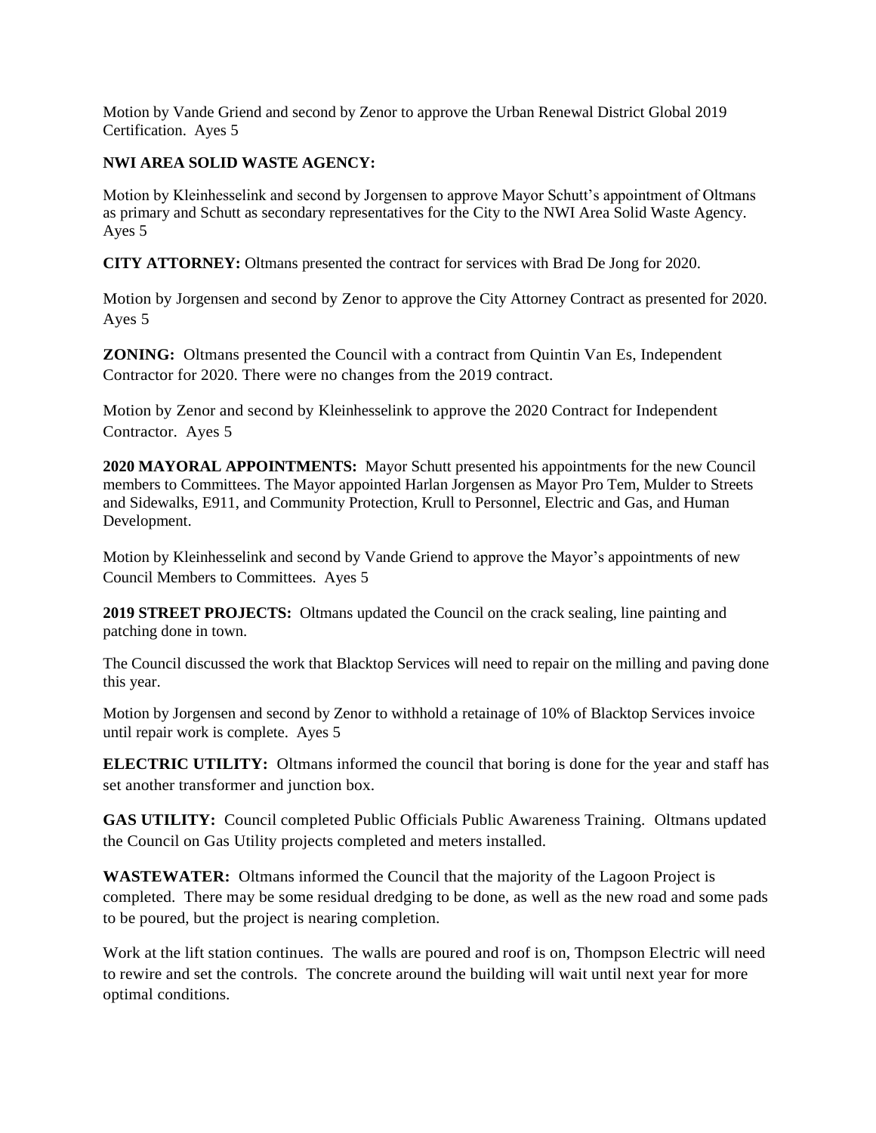Motion by Vande Griend and second by Zenor to approve the Urban Renewal District Global 2019 Certification. Ayes 5

## **NWI AREA SOLID WASTE AGENCY:**

Motion by Kleinhesselink and second by Jorgensen to approve Mayor Schutt's appointment of Oltmans as primary and Schutt as secondary representatives for the City to the NWI Area Solid Waste Agency. Ayes 5

**CITY ATTORNEY:** Oltmans presented the contract for services with Brad De Jong for 2020.

Motion by Jorgensen and second by Zenor to approve the City Attorney Contract as presented for 2020. Ayes 5

**ZONING:** Oltmans presented the Council with a contract from Quintin Van Es, Independent Contractor for 2020. There were no changes from the 2019 contract.

Motion by Zenor and second by Kleinhesselink to approve the 2020 Contract for Independent Contractor. Ayes 5

**2020 MAYORAL APPOINTMENTS:** Mayor Schutt presented his appointments for the new Council members to Committees. The Mayor appointed Harlan Jorgensen as Mayor Pro Tem, Mulder to Streets and Sidewalks, E911, and Community Protection, Krull to Personnel, Electric and Gas, and Human Development.

Motion by Kleinhesselink and second by Vande Griend to approve the Mayor's appointments of new Council Members to Committees. Ayes 5

**2019 STREET PROJECTS:** Oltmans updated the Council on the crack sealing, line painting and patching done in town.

The Council discussed the work that Blacktop Services will need to repair on the milling and paving done this year.

Motion by Jorgensen and second by Zenor to withhold a retainage of 10% of Blacktop Services invoice until repair work is complete. Ayes 5

**ELECTRIC UTILITY:** Oltmans informed the council that boring is done for the year and staff has set another transformer and junction box.

**GAS UTILITY:** Council completed Public Officials Public Awareness Training.Oltmans updated the Council on Gas Utility projects completed and meters installed.

**WASTEWATER:** Oltmans informed the Council that the majority of the Lagoon Project is completed. There may be some residual dredging to be done, as well as the new road and some pads to be poured, but the project is nearing completion.

Work at the lift station continues. The walls are poured and roof is on, Thompson Electric will need to rewire and set the controls. The concrete around the building will wait until next year for more optimal conditions.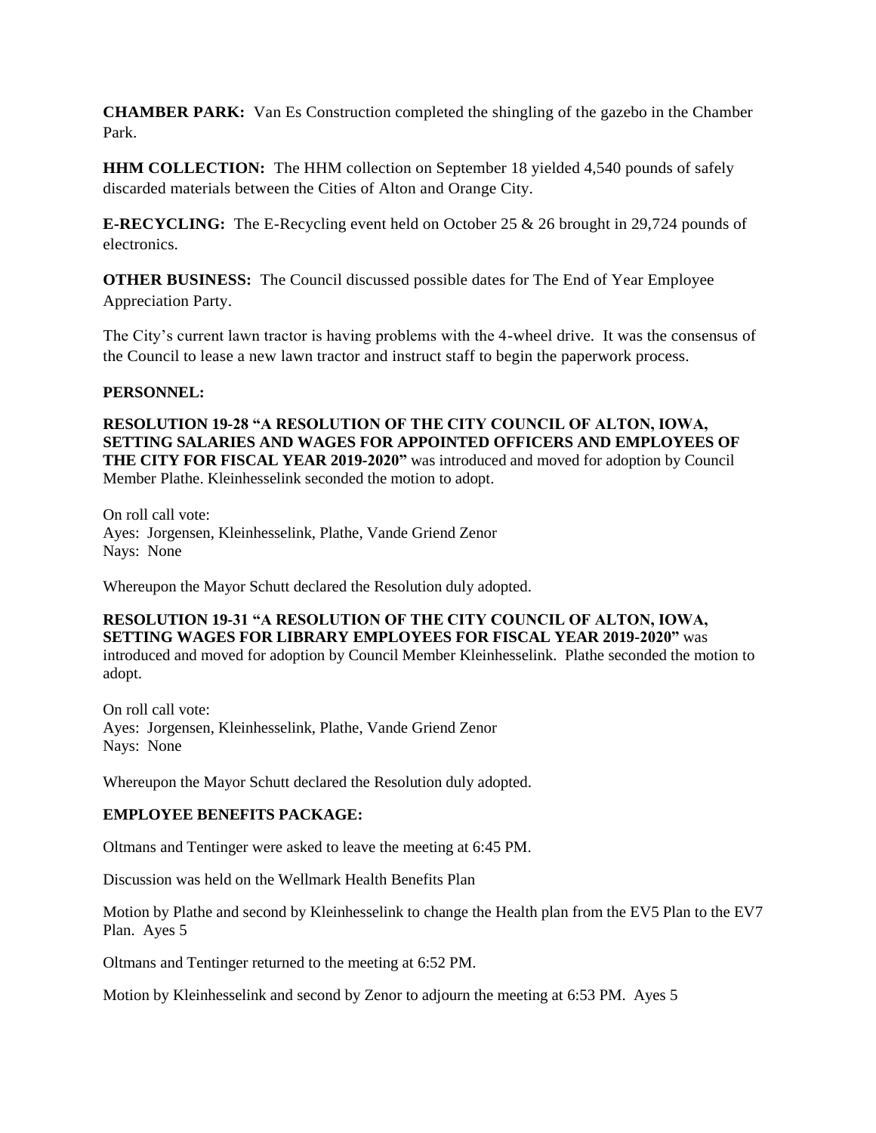**CHAMBER PARK:** Van Es Construction completed the shingling of the gazebo in the Chamber Park.

**HHM COLLECTION:** The HHM collection on September 18 yielded 4,540 pounds of safely discarded materials between the Cities of Alton and Orange City.

**E-RECYCLING:** The E-Recycling event held on October 25 & 26 brought in 29,724 pounds of electronics.

**OTHER BUSINESS:** The Council discussed possible dates for The End of Year Employee Appreciation Party.

The City's current lawn tractor is having problems with the 4-wheel drive. It was the consensus of the Council to lease a new lawn tractor and instruct staff to begin the paperwork process.

### **PERSONNEL:**

**RESOLUTION 19-28 "A RESOLUTION OF THE CITY COUNCIL OF ALTON, IOWA, SETTING SALARIES AND WAGES FOR APPOINTED OFFICERS AND EMPLOYEES OF THE CITY FOR FISCAL YEAR 2019-2020"** was introduced and moved for adoption by Council Member Plathe. Kleinhesselink seconded the motion to adopt.

On roll call vote: Ayes: Jorgensen, Kleinhesselink, Plathe, Vande Griend Zenor Nays: None

Whereupon the Mayor Schutt declared the Resolution duly adopted.

#### **RESOLUTION 19-31 "A RESOLUTION OF THE CITY COUNCIL OF ALTON, IOWA, SETTING WAGES FOR LIBRARY EMPLOYEES FOR FISCAL YEAR 2019-2020"** was introduced and moved for adoption by Council Member Kleinhesselink. Plathe seconded the motion to adopt.

On roll call vote: Ayes: Jorgensen, Kleinhesselink, Plathe, Vande Griend Zenor Nays: None

Whereupon the Mayor Schutt declared the Resolution duly adopted.

# **EMPLOYEE BENEFITS PACKAGE:**

Oltmans and Tentinger were asked to leave the meeting at 6:45 PM.

Discussion was held on the Wellmark Health Benefits Plan

Motion by Plathe and second by Kleinhesselink to change the Health plan from the EV5 Plan to the EV7 Plan. Ayes 5

Oltmans and Tentinger returned to the meeting at 6:52 PM.

Motion by Kleinhesselink and second by Zenor to adjourn the meeting at 6:53 PM. Ayes 5